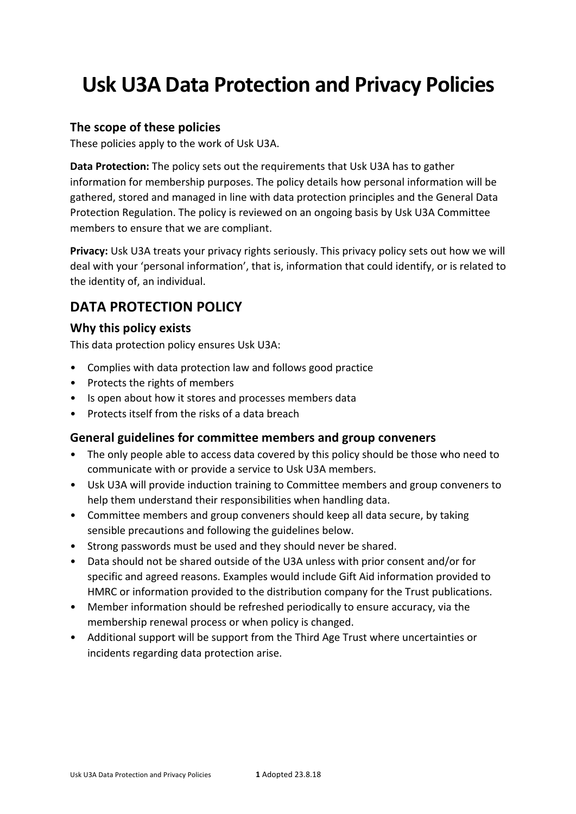# **Usk U3A Data Protection and Privacy Policies**

#### **The scope of these policies**

These policies apply to the work of Usk U3A.

**Data Protection:** The policy sets out the requirements that Usk U3A has to gather information for membership purposes. The policy details how personal information will be gathered, stored and managed in line with data protection principles and the General Data Protection Regulation. The policy is reviewed on an ongoing basis by Usk U3A Committee members to ensure that we are compliant.

**Privacy:** Usk U3A treats your privacy rights seriously. This privacy policy sets out how we will deal with your 'personal information', that is, information that could identify, or is related to the identity of, an individual.

# DATA PROTECTION POLICY

#### Why this policy exists

This data protection policy ensures Usk U3A:

- Complies with data protection law and follows good practice
- Protects the rights of members
- Is open about how it stores and processes members data
- Protects itself from the risks of a data breach

#### General guidelines for committee members and group conveners

- The only people able to access data covered by this policy should be those who need to communicate with or provide a service to Usk U3A members.
- Usk U3A will provide induction training to Committee members and group conveners to help them understand their responsibilities when handling data.
- Committee members and group conveners should keep all data secure, by taking sensible precautions and following the guidelines below.
- Strong passwords must be used and they should never be shared.
- Data should not be shared outside of the U3A unless with prior consent and/or for specific and agreed reasons. Examples would include Gift Aid information provided to HMRC or information provided to the distribution company for the Trust publications.
- Member information should be refreshed periodically to ensure accuracy, via the membership renewal process or when policy is changed.
- Additional support will be support from the Third Age Trust where uncertainties or incidents regarding data protection arise.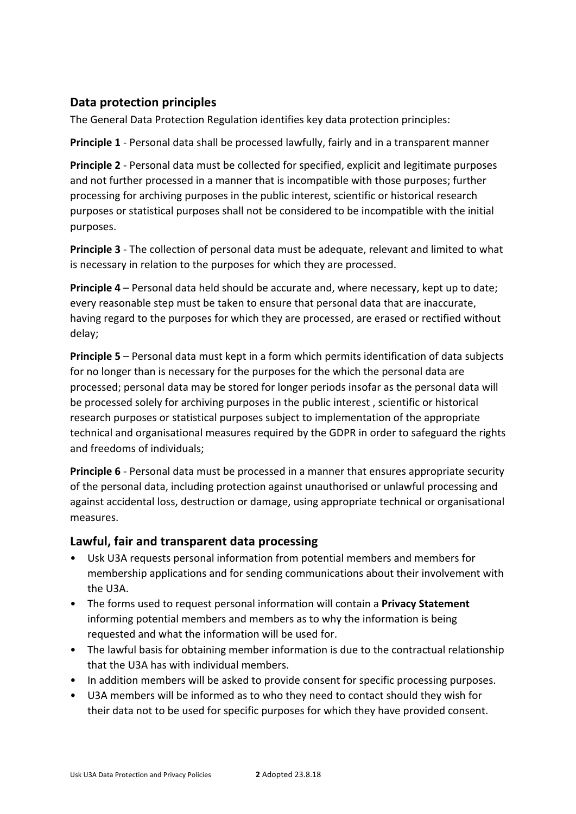## **Data protection principles**

The General Data Protection Regulation identifies key data protection principles:

**Principle 1** - Personal data shall be processed lawfully, fairly and in a transparent manner

**Principle 2** - Personal data must be collected for specified, explicit and legitimate purposes and not further processed in a manner that is incompatible with those purposes; further processing for archiving purposes in the public interest, scientific or historical research purposes or statistical purposes shall not be considered to be incompatible with the initial purposes.

**Principle 3** - The collection of personal data must be adequate, relevant and limited to what is necessary in relation to the purposes for which they are processed.

**Principle 4** – Personal data held should be accurate and, where necessary, kept up to date; every reasonable step must be taken to ensure that personal data that are inaccurate, having regard to the purposes for which they are processed, are erased or rectified without delay; 

**Principle 5** – Personal data must kept in a form which permits identification of data subjects for no longer than is necessary for the purposes for the which the personal data are processed; personal data may be stored for longer periods insofar as the personal data will be processed solely for archiving purposes in the public interest, scientific or historical research purposes or statistical purposes subject to implementation of the appropriate technical and organisational measures required by the GDPR in order to safeguard the rights and freedoms of individuals;

**Principle 6** - Personal data must be processed in a manner that ensures appropriate security of the personal data, including protection against unauthorised or unlawful processing and against accidental loss, destruction or damage, using appropriate technical or organisational measures. 

#### Lawful, fair and transparent data processing

- Usk U3A requests personal information from potential members and members for membership applications and for sending communications about their involvement with the U3A.
- The forms used to request personal information will contain a **Privacy Statement** informing potential members and members as to why the information is being requested and what the information will be used for.
- The lawful basis for obtaining member information is due to the contractual relationship that the U3A has with individual members.
- In addition members will be asked to provide consent for specific processing purposes.
- U3A members will be informed as to who they need to contact should they wish for their data not to be used for specific purposes for which they have provided consent.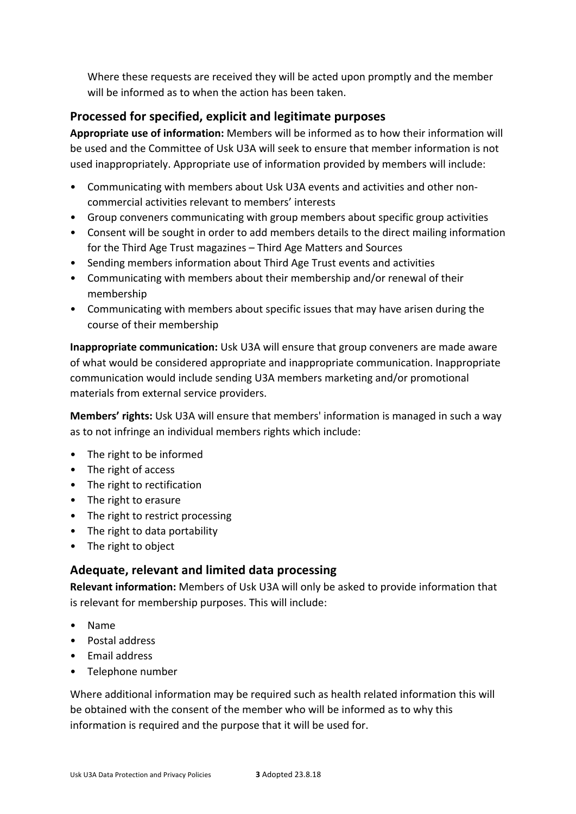Where these requests are received they will be acted upon promptly and the member will be informed as to when the action has been taken.

## Processed for specified, explicit and legitimate purposes

**Appropriate use of information:** Members will be informed as to how their information will be used and the Committee of Usk U3A will seek to ensure that member information is not used inappropriately. Appropriate use of information provided by members will include:

- Communicating with members about Usk U3A events and activities and other noncommercial activities relevant to members' interests
- Group conveners communicating with group members about specific group activities
- Consent will be sought in order to add members details to the direct mailing information for the Third Age Trust magazines – Third Age Matters and Sources
- Sending members information about Third Age Trust events and activities
- Communicating with members about their membership and/or renewal of their membership
- Communicating with members about specific issues that may have arisen during the course of their membership

**Inappropriate communication:** Usk U3A will ensure that group conveners are made aware of what would be considered appropriate and inappropriate communication. Inappropriate communication would include sending U3A members marketing and/or promotional materials from external service providers.

**Members' rights:** Usk U3A will ensure that members' information is managed in such a way as to not infringe an individual members rights which include:

- The right to be informed
- The right of access
- The right to rectification
- The right to erasure
- The right to restrict processing
- The right to data portability
- The right to object

#### Adequate, relevant and limited data processing

**Relevant information:** Members of Usk U3A will only be asked to provide information that is relevant for membership purposes. This will include:

- Name
- Postal address
- Email address
- Telephone number

Where additional information may be required such as health related information this will be obtained with the consent of the member who will be informed as to why this information is required and the purpose that it will be used for.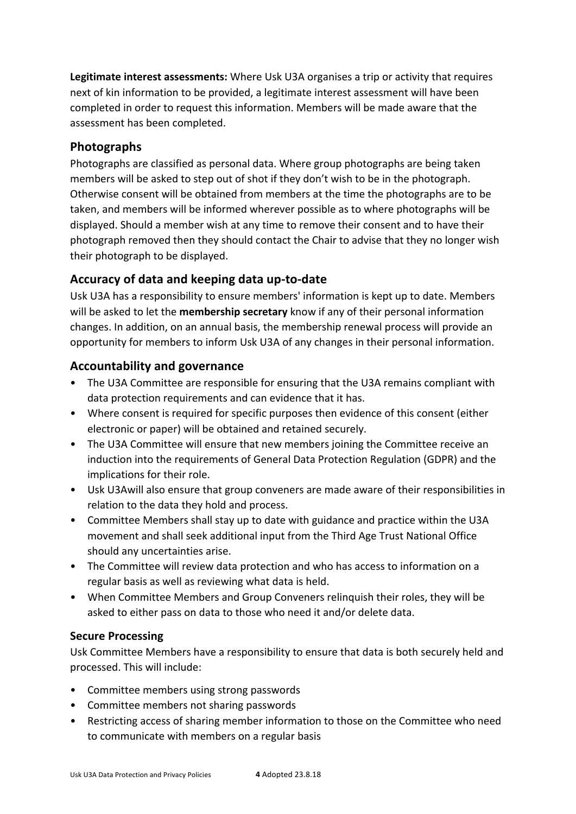**Legitimate interest assessments:** Where Usk U3A organises a trip or activity that requires next of kin information to be provided, a legitimate interest assessment will have been completed in order to request this information. Members will be made aware that the assessment has been completed.

### **Photographs**

Photographs are classified as personal data. Where group photographs are being taken members will be asked to step out of shot if they don't wish to be in the photograph. Otherwise consent will be obtained from members at the time the photographs are to be taken, and members will be informed wherever possible as to where photographs will be displayed. Should a member wish at any time to remove their consent and to have their photograph removed then they should contact the Chair to advise that they no longer wish their photograph to be displayed.

### **Accuracy of data and keeping data up-to-date**

Usk U3A has a responsibility to ensure members' information is kept up to date. Members will be asked to let the **membership secretary** know if any of their personal information changes. In addition, on an annual basis, the membership renewal process will provide an opportunity for members to inform Usk U3A of any changes in their personal information.

### **Accountability and governance**

- The U3A Committee are responsible for ensuring that the U3A remains compliant with data protection requirements and can evidence that it has.
- Where consent is required for specific purposes then evidence of this consent (either electronic or paper) will be obtained and retained securely.
- The U3A Committee will ensure that new members joining the Committee receive an induction into the requirements of General Data Protection Regulation (GDPR) and the implications for their role.
- Usk U3Awill also ensure that group conveners are made aware of their responsibilities in relation to the data they hold and process.
- Committee Members shall stay up to date with guidance and practice within the U3A movement and shall seek additional input from the Third Age Trust National Office should any uncertainties arise.
- The Committee will review data protection and who has access to information on a regular basis as well as reviewing what data is held.
- When Committee Members and Group Conveners relinquish their roles, they will be asked to either pass on data to those who need it and/or delete data.

#### **Secure Processing**

Usk Committee Members have a responsibility to ensure that data is both securely held and processed. This will include:

- Committee members using strong passwords
- Committee members not sharing passwords
- Restricting access of sharing member information to those on the Committee who need to communicate with members on a regular basis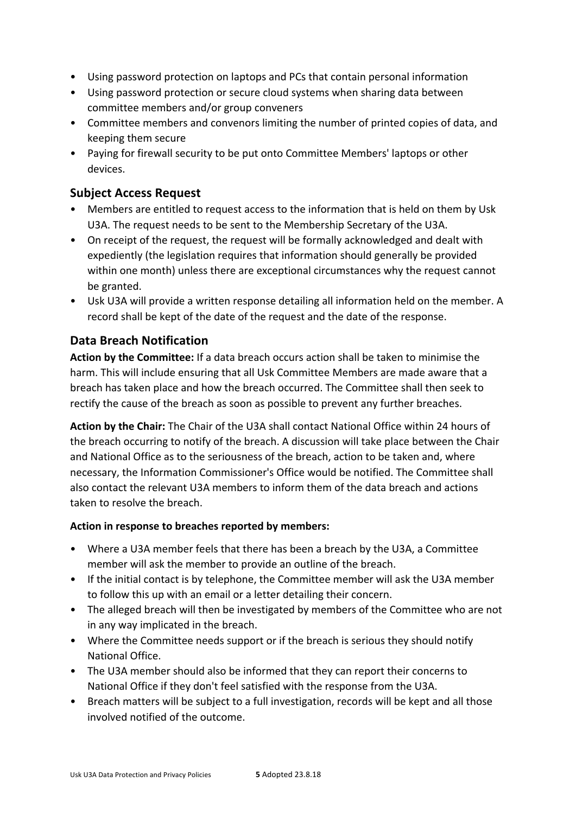- Using password protection on laptops and PCs that contain personal information
- Using password protection or secure cloud systems when sharing data between committee members and/or group conveners
- Committee members and convenors limiting the number of printed copies of data, and keeping them secure
- Paying for firewall security to be put onto Committee Members' laptops or other devices.

### **Subject Access Request**

- Members are entitled to request access to the information that is held on them by Usk U3A. The request needs to be sent to the Membership Secretary of the U3A.
- On receipt of the request, the request will be formally acknowledged and dealt with expediently (the legislation requires that information should generally be provided within one month) unless there are exceptional circumstances why the request cannot be granted.
- Usk U3A will provide a written response detailing all information held on the member. A record shall be kept of the date of the request and the date of the response.

### **Data Breach Notification**

**Action by the Committee:** If a data breach occurs action shall be taken to minimise the harm. This will include ensuring that all Usk Committee Members are made aware that a breach has taken place and how the breach occurred. The Committee shall then seek to rectify the cause of the breach as soon as possible to prevent any further breaches.

Action by the Chair: The Chair of the U3A shall contact National Office within 24 hours of the breach occurring to notify of the breach. A discussion will take place between the Chair and National Office as to the seriousness of the breach, action to be taken and, where necessary, the Information Commissioner's Office would be notified. The Committee shall also contact the relevant U3A members to inform them of the data breach and actions taken to resolve the breach.

#### Action in response to breaches reported by members:

- Where a U3A member feels that there has been a breach by the U3A, a Committee member will ask the member to provide an outline of the breach.
- If the initial contact is by telephone, the Committee member will ask the U3A member to follow this up with an email or a letter detailing their concern.
- The alleged breach will then be investigated by members of the Committee who are not in any way implicated in the breach.
- Where the Committee needs support or if the breach is serious they should notify National Office.
- The U3A member should also be informed that they can report their concerns to National Office if they don't feel satisfied with the response from the U3A.
- Breach matters will be subject to a full investigation, records will be kept and all those involved notified of the outcome.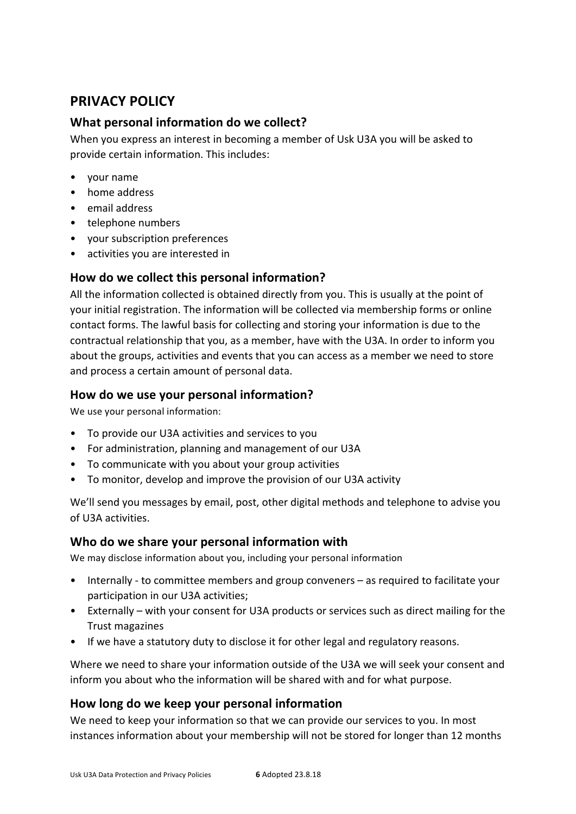# **PRIVACY POLICY**

#### **What personal information do we collect?**

When you express an interest in becoming a member of Usk U3A you will be asked to provide certain information. This includes:

- your name
- home address
- email address
- telephone numbers
- your subscription preferences
- activities you are interested in

#### How do we collect this personal information?

All the information collected is obtained directly from you. This is usually at the point of your initial registration. The information will be collected via membership forms or online contact forms. The lawful basis for collecting and storing your information is due to the contractual relationship that you, as a member, have with the U3A. In order to inform you about the groups, activities and events that you can access as a member we need to store and process a certain amount of personal data.

#### How do we use your personal information?

We use your personal information:

- To provide our U3A activities and services to you
- For administration, planning and management of our U3A
- To communicate with you about your group activities
- To monitor, develop and improve the provision of our U3A activity

We'll send you messages by email, post, other digital methods and telephone to advise you of U3A activities.

#### Who do we share your personal information with

We may disclose information about you, including your personal information

- Internally to committee members and group conveners as required to facilitate your participation in our U3A activities;
- Externally with your consent for U3A products or services such as direct mailing for the Trust magazines
- If we have a statutory duty to disclose it for other legal and regulatory reasons.

Where we need to share your information outside of the U3A we will seek your consent and inform you about who the information will be shared with and for what purpose.

#### How long do we keep your personal information

We need to keep your information so that we can provide our services to you. In most instances information about your membership will not be stored for longer than 12 months